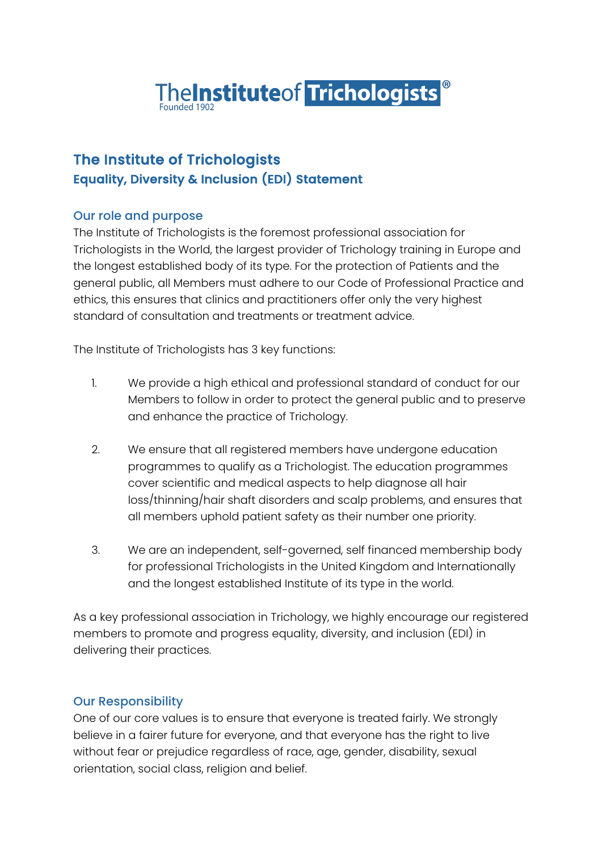

### The Institute of Trichologists Equality, Diversity & Inclusion (EDI) Statement

### Our role and purpose

The Institute of Trichologists is the foremost professional association for Trichologists in the World, the largest provider of Trichology training in Europe and the longest established body of its type. For the protection of Patients and the general public, all Members must adhere to our Code of Professional Practice and ethics, this ensures that clinics and practitioners offer only the very highest standard of consultation and treatments or treatment advice.

The Institute of Trichologists has 3 key functions:

- 1. We provide a high ethical and professional standard of conduct for our Members to follow in order to protect the general public and to preserve and enhance the practice of Trichology.
- 2. We ensure that all registered members have undergone education programmes to qualify as a Trichologist. The education programmes cover scientific and medical aspects to help diagnose all hair loss/thinning/hair shaft disorders and scalp problems, and ensures that all members uphold patient safety as their number one priority.
- 3. We are an independent, self-governed, self financed membership body for professional Trichologists in the United Kingdom and Internationally and the longest established Institute of its type in the world.

As a key professional association in Trichology, we highly encourage our registered members to promote and progress equality, diversity, and inclusion (EDI) in delivering their practices.

### Our Responsibility

One of our core values is to ensure that everyone is treated fairly. We strongly believe in a fairer future for everyone, and that everyone has the right to live without fear or prejudice regardless of race, age, gender, disability, sexual orientation, social class, religion and belief.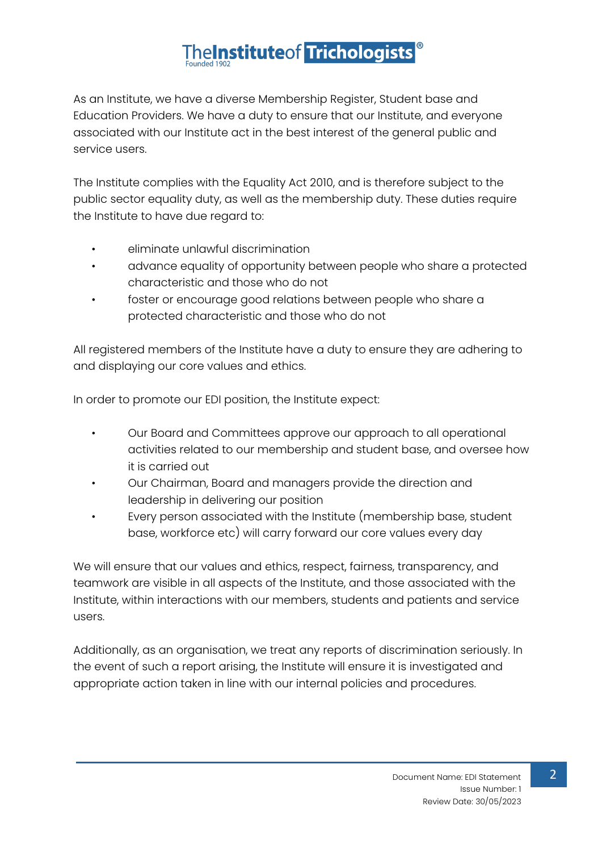# The Institute of Trichologists

As an Institute, we have a diverse Membership Register, Student base and Education Providers. We have a duty to ensure that our Institute, and everyone associated with our Institute act in the best interest of the general public and service users.

The Institute complies with the Equality Act 2010, and is therefore subject to the public sector equality duty, as well as the membership duty. These duties require the Institute to have due regard to:

- eliminate unlawful discrimination
- advance equality of opportunity between people who share a protected characteristic and those who do not
- foster or encourage good relations between people who share a protected characteristic and those who do not

All registered members of the Institute have a duty to ensure they are adhering to and displaying our core values and ethics.

In order to promote our EDI position, the Institute expect:

- Our Board and Committees approve our approach to all operational activities related to our membership and student base, and oversee how it is carried out
- Our Chairman, Board and managers provide the direction and leadership in delivering our position
- Every person associated with the Institute (membership base, student base, workforce etc) will carry forward our core values every day

We will ensure that our values and ethics, respect, fairness, transparency, and teamwork are visible in all aspects of the Institute, and those associated with the Institute, within interactions with our members, students and patients and service users.

Additionally, as an organisation, we treat any reports of discrimination seriously. In the event of such a report arising, the Institute will ensure it is investigated and appropriate action taken in line with our internal policies and procedures.